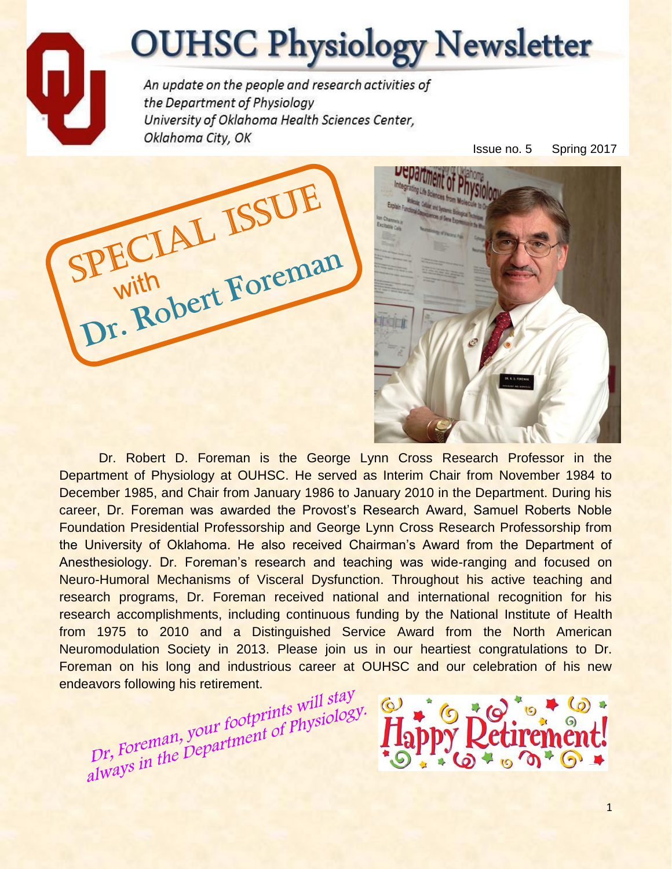## **OUHSC Physiology Newsletter**

An update on the people and research activities of the Department of Physiology University of Oklahoma Health Sciences Center, Oklahoma City, OK

Issue no. 5 Spring 2017



Dr. Robert D. Foreman is the George Lynn Cross Research Professor in the Department of Physiology at OUHSC. He served as Interim Chair from November 1984 to December 1985, and Chair from January 1986 to January 2010 in the Department. During his career, Dr. Foreman was awarded the Provost's Research Award, Samuel Roberts Noble Foundation Presidential Professorship and George Lynn Cross Research Professorship from the University of Oklahoma. He also received Chairman's Award from the Department of Anesthesiology. Dr. Foreman's research and teaching was wide-ranging and focused on Neuro-Humoral Mechanisms of Visceral Dysfunction. Throughout his active teaching and research programs, Dr. Foreman received national and international recognition for his research accomplishments, including continuous funding by the National Institute of Health from 1975 to 2010 and a Distinguished Service Award from the North American Neuromodulation Society in 2013. Please join us in our heartiest congratulations to Dr. Foreman on his long and industrious career at OUHSC and our celebration of his new endeavors following his retirement.

Dr, Foreman, your footprints will stay<br>always in the Department of Physiology.

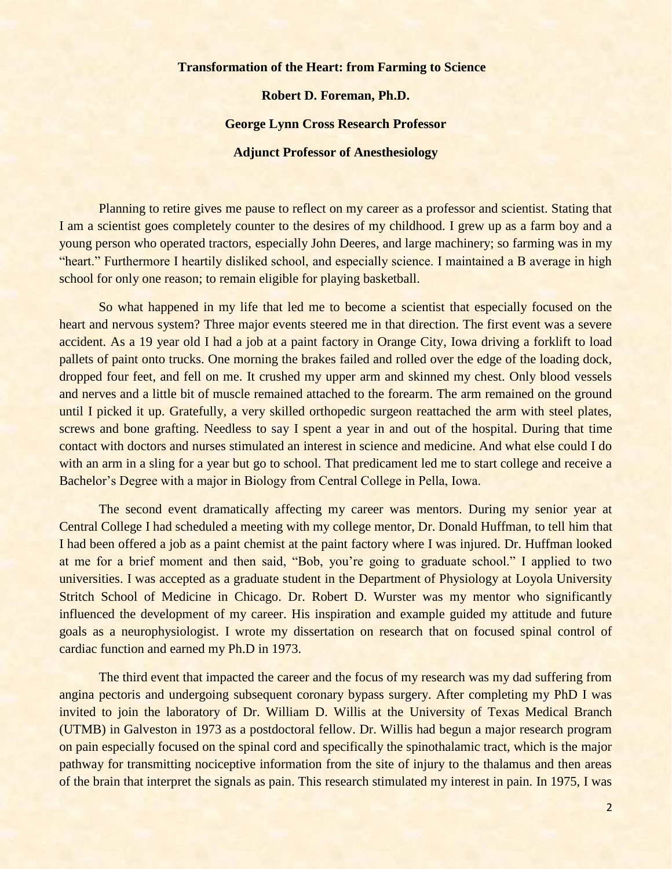## **Transformation of the Heart: from Farming to Science**

**Robert D. Foreman, Ph.D.**

**George Lynn Cross Research Professor**

**Adjunct Professor of Anesthesiology**

Planning to retire gives me pause to reflect on my career as a professor and scientist. Stating that I am a scientist goes completely counter to the desires of my childhood. I grew up as a farm boy and a young person who operated tractors, especially John Deeres, and large machinery; so farming was in my "heart." Furthermore I heartily disliked school, and especially science. I maintained a B average in high school for only one reason; to remain eligible for playing basketball.

So what happened in my life that led me to become a scientist that especially focused on the heart and nervous system? Three major events steered me in that direction. The first event was a severe accident. As a 19 year old I had a job at a paint factory in Orange City, Iowa driving a forklift to load pallets of paint onto trucks. One morning the brakes failed and rolled over the edge of the loading dock, dropped four feet, and fell on me. It crushed my upper arm and skinned my chest. Only blood vessels and nerves and a little bit of muscle remained attached to the forearm. The arm remained on the ground until I picked it up. Gratefully, a very skilled orthopedic surgeon reattached the arm with steel plates, screws and bone grafting. Needless to say I spent a year in and out of the hospital. During that time contact with doctors and nurses stimulated an interest in science and medicine. And what else could I do with an arm in a sling for a year but go to school. That predicament led me to start college and receive a Bachelor's Degree with a major in Biology from Central College in Pella, Iowa.

The second event dramatically affecting my career was mentors. During my senior year at Central College I had scheduled a meeting with my college mentor, Dr. Donald Huffman, to tell him that I had been offered a job as a paint chemist at the paint factory where I was injured. Dr. Huffman looked at me for a brief moment and then said, "Bob, you're going to graduate school." I applied to two universities. I was accepted as a graduate student in the Department of Physiology at Loyola University Stritch School of Medicine in Chicago. Dr. Robert D. Wurster was my mentor who significantly influenced the development of my career. His inspiration and example guided my attitude and future goals as a neurophysiologist. I wrote my dissertation on research that on focused spinal control of cardiac function and earned my Ph.D in 1973.

The third event that impacted the career and the focus of my research was my dad suffering from angina pectoris and undergoing subsequent coronary bypass surgery. After completing my PhD I was invited to join the laboratory of Dr. William D. Willis at the University of Texas Medical Branch (UTMB) in Galveston in 1973 as a postdoctoral fellow. Dr. Willis had begun a major research program on pain especially focused on the spinal cord and specifically the spinothalamic tract, which is the major pathway for transmitting nociceptive information from the site of injury to the thalamus and then areas of the brain that interpret the signals as pain. This research stimulated my interest in pain. In 1975, I was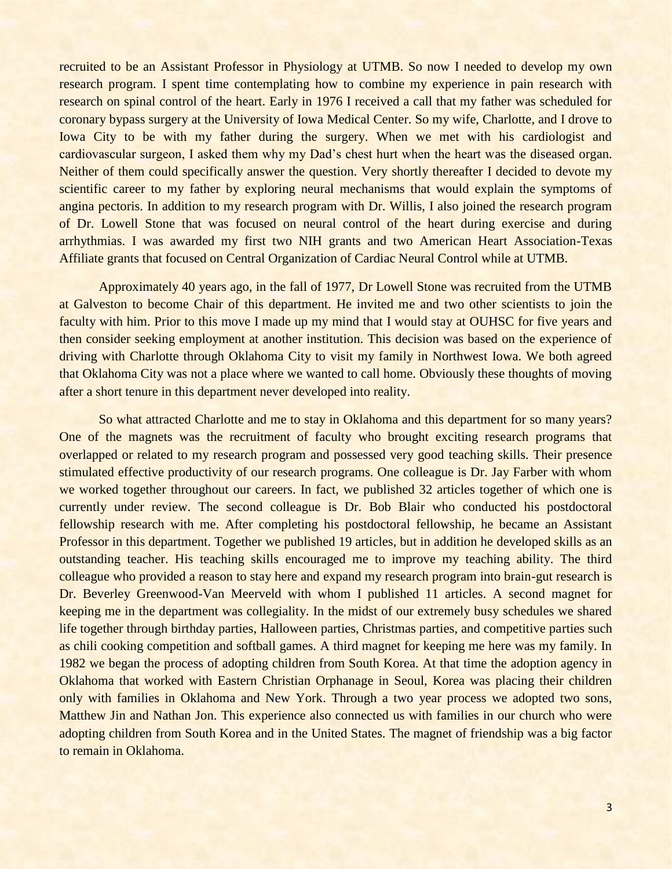recruited to be an Assistant Professor in Physiology at UTMB. So now I needed to develop my own research program. I spent time contemplating how to combine my experience in pain research with research on spinal control of the heart. Early in 1976 I received a call that my father was scheduled for coronary bypass surgery at the University of Iowa Medical Center. So my wife, Charlotte, and I drove to Iowa City to be with my father during the surgery. When we met with his cardiologist and cardiovascular surgeon, I asked them why my Dad's chest hurt when the heart was the diseased organ. Neither of them could specifically answer the question. Very shortly thereafter I decided to devote my scientific career to my father by exploring neural mechanisms that would explain the symptoms of angina pectoris. In addition to my research program with Dr. Willis, I also joined the research program of Dr. Lowell Stone that was focused on neural control of the heart during exercise and during arrhythmias. I was awarded my first two NIH grants and two American Heart Association-Texas Affiliate grants that focused on Central Organization of Cardiac Neural Control while at UTMB.

Approximately 40 years ago, in the fall of 1977, Dr Lowell Stone was recruited from the UTMB at Galveston to become Chair of this department. He invited me and two other scientists to join the faculty with him. Prior to this move I made up my mind that I would stay at OUHSC for five years and then consider seeking employment at another institution. This decision was based on the experience of driving with Charlotte through Oklahoma City to visit my family in Northwest Iowa. We both agreed that Oklahoma City was not a place where we wanted to call home. Obviously these thoughts of moving after a short tenure in this department never developed into reality.

So what attracted Charlotte and me to stay in Oklahoma and this department for so many years? One of the magnets was the recruitment of faculty who brought exciting research programs that overlapped or related to my research program and possessed very good teaching skills. Their presence stimulated effective productivity of our research programs. One colleague is Dr. Jay Farber with whom we worked together throughout our careers. In fact, we published 32 articles together of which one is currently under review. The second colleague is Dr. Bob Blair who conducted his postdoctoral fellowship research with me. After completing his postdoctoral fellowship, he became an Assistant Professor in this department. Together we published 19 articles, but in addition he developed skills as an outstanding teacher. His teaching skills encouraged me to improve my teaching ability. The third colleague who provided a reason to stay here and expand my research program into brain-gut research is Dr. Beverley Greenwood-Van Meerveld with whom I published 11 articles. A second magnet for keeping me in the department was collegiality. In the midst of our extremely busy schedules we shared life together through birthday parties, Halloween parties, Christmas parties, and competitive parties such as chili cooking competition and softball games. A third magnet for keeping me here was my family. In 1982 we began the process of adopting children from South Korea. At that time the adoption agency in Oklahoma that worked with Eastern Christian Orphanage in Seoul, Korea was placing their children only with families in Oklahoma and New York. Through a two year process we adopted two sons, Matthew Jin and Nathan Jon. This experience also connected us with families in our church who were adopting children from South Korea and in the United States. The magnet of friendship was a big factor to remain in Oklahoma.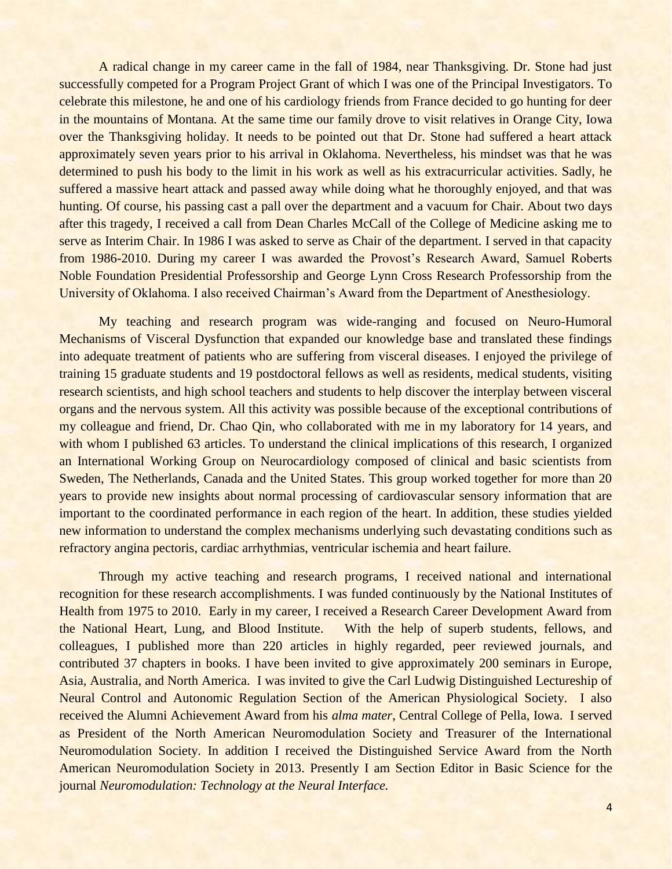A radical change in my career came in the fall of 1984, near Thanksgiving. Dr. Stone had just successfully competed for a Program Project Grant of which I was one of the Principal Investigators. To celebrate this milestone, he and one of his cardiology friends from France decided to go hunting for deer in the mountains of Montana. At the same time our family drove to visit relatives in Orange City, Iowa over the Thanksgiving holiday. It needs to be pointed out that Dr. Stone had suffered a heart attack approximately seven years prior to his arrival in Oklahoma. Nevertheless, his mindset was that he was determined to push his body to the limit in his work as well as his extracurricular activities. Sadly, he suffered a massive heart attack and passed away while doing what he thoroughly enjoyed, and that was hunting. Of course, his passing cast a pall over the department and a vacuum for Chair. About two days after this tragedy, I received a call from Dean Charles McCall of the College of Medicine asking me to serve as Interim Chair. In 1986 I was asked to serve as Chair of the department. I served in that capacity from 1986-2010. During my career I was awarded the Provost's Research Award, Samuel Roberts Noble Foundation Presidential Professorship and George Lynn Cross Research Professorship from the University of Oklahoma. I also received Chairman's Award from the Department of Anesthesiology.

My teaching and research program was wide-ranging and focused on Neuro-Humoral Mechanisms of Visceral Dysfunction that expanded our knowledge base and translated these findings into adequate treatment of patients who are suffering from visceral diseases. I enjoyed the privilege of training 15 graduate students and 19 postdoctoral fellows as well as residents, medical students, visiting research scientists, and high school teachers and students to help discover the interplay between visceral organs and the nervous system. All this activity was possible because of the exceptional contributions of my colleague and friend, Dr. Chao Qin, who collaborated with me in my laboratory for 14 years, and with whom I published 63 articles. To understand the clinical implications of this research, I organized an International Working Group on Neurocardiology composed of clinical and basic scientists from Sweden, The Netherlands, Canada and the United States. This group worked together for more than 20 years to provide new insights about normal processing of cardiovascular sensory information that are important to the coordinated performance in each region of the heart. In addition, these studies yielded new information to understand the complex mechanisms underlying such devastating conditions such as refractory angina pectoris, cardiac arrhythmias, ventricular ischemia and heart failure.

Through my active teaching and research programs, I received national and international recognition for these research accomplishments. I was funded continuously by the National Institutes of Health from 1975 to 2010. Early in my career, I received a Research Career Development Award from the National Heart, Lung, and Blood Institute. With the help of superb students, fellows, and colleagues, I published more than 220 articles in highly regarded, peer reviewed journals, and contributed 37 chapters in books. I have been invited to give approximately 200 seminars in Europe, Asia, Australia, and North America. I was invited to give the Carl Ludwig Distinguished Lectureship of Neural Control and Autonomic Regulation Section of the American Physiological Society. I also received the Alumni Achievement Award from his *alma mater*, Central College of Pella, Iowa. I served as President of the North American Neuromodulation Society and Treasurer of the International Neuromodulation Society. In addition I received the Distinguished Service Award from the North American Neuromodulation Society in 2013. Presently I am Section Editor in Basic Science for the journal *Neuromodulation: Technology at the Neural Interface.*